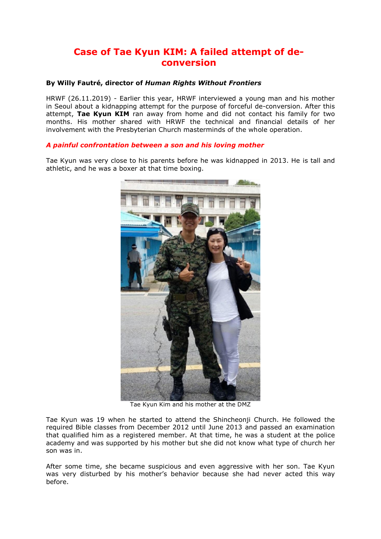# **Case of Tae Kyun KIM: A failed attempt of deconversion**

# **By Willy Fautré, director of** *Human Rights Without Frontiers*

HRWF (26.11.2019) - Earlier this year, HRWF interviewed a young man and his mother in Seoul about a kidnapping attempt for the purpose of forceful de-conversion. After this attempt, **Tae Kyun KIM** ran away from home and did not contact his family for two months. His mother shared with HRWF the technical and financial details of her involvement with the Presbyterian Church masterminds of the whole operation.

# *A painful confrontation between a son and his loving mother*

Tae Kyun was very close to his parents before he was kidnapped in 2013. He is tall and athletic, and he was a boxer at that time boxing.



Tae Kyun Kim and his mother at the DMZ

Tae Kyun was 19 when he started to attend the Shincheonji Church. He followed the required Bible classes from December 2012 until June 2013 and passed an examination that qualified him as a registered member. At that time, he was a student at the police academy and was supported by his mother but she did not know what type of church her son was in.

After some time, she became suspicious and even aggressive with her son. Tae Kyun was very disturbed by his mother's behavior because she had never acted this way before.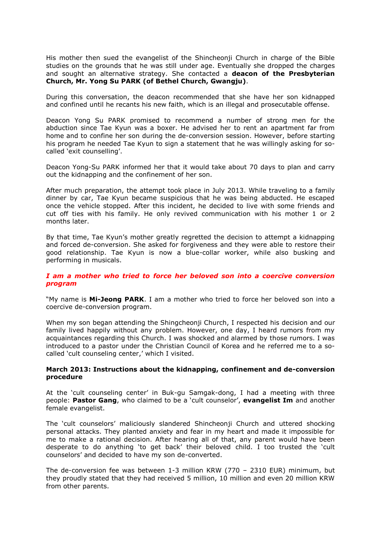His mother then sued the evangelist of the Shincheonji Church in charge of the Bible studies on the grounds that he was still under age. Eventually she dropped the charges and sought an alternative strategy. She contacted a **deacon of the Presbyterian Church, Mr. Yong Su PARK (of Bethel Church, Gwangju)**.

During this conversation, the deacon recommended that she have her son kidnapped and confined until he recants his new faith, which is an illegal and prosecutable offense.

Deacon Yong Su PARK promised to recommend a number of strong men for the abduction since Tae Kyun was a boxer. He advised her to rent an apartment far from home and to confine her son during the de-conversion session. However, before starting his program he needed Tae Kyun to sign a statement that he was willingly asking for socalled 'exit counselling'.

Deacon Yong-Su PARK informed her that it would take about 70 days to plan and carry out the kidnapping and the confinement of her son.

After much preparation, the attempt took place in July 2013. While traveling to a family dinner by car, Tae Kyun became suspicious that he was being abducted. He escaped once the vehicle stopped. After this incident, he decided to live with some friends and cut off ties with his family. He only revived communication with his mother 1 or 2 months later.

By that time, Tae Kyun's mother greatly regretted the decision to attempt a kidnapping and forced de-conversion. She asked for forgiveness and they were able to restore their good relationship. Tae Kyun is now a blue-collar worker, while also busking and performing in musicals.

# *I am a mother who tried to force her beloved son into a coercive conversion program*

"My name is **Mi-Jeong PARK**. I am a mother who tried to force her beloved son into a coercive de-conversion program.

When my son began attending the Shingcheonji Church, I respected his decision and our family lived happily without any problem. However, one day, I heard rumors from my acquaintances regarding this Church. I was shocked and alarmed by those rumors. I was introduced to a pastor under the Christian Council of Korea and he referred me to a socalled 'cult counseling center,' which I visited.

#### **March 2013: Instructions about the kidnapping, confinement and de-conversion procedure**

At the 'cult counseling center' in Buk-gu Samgak-dong, I had a meeting with three people: **Pastor Gang**, who claimed to be a 'cult counselor', **evangelist Im** and another female evangelist.

The 'cult counselors' maliciously slandered Shincheonji Church and uttered shocking personal attacks. They planted anxiety and fear in my heart and made it impossible for me to make a rational decision. After hearing all of that, any parent would have been desperate to do anything 'to get back' their beloved child. I too trusted the 'cult counselors' and decided to have my son de-converted.

The de-conversion fee was between 1-3 million KRW (770 – 2310 EUR) minimum, but they proudly stated that they had received 5 million, 10 million and even 20 million KRW from other parents.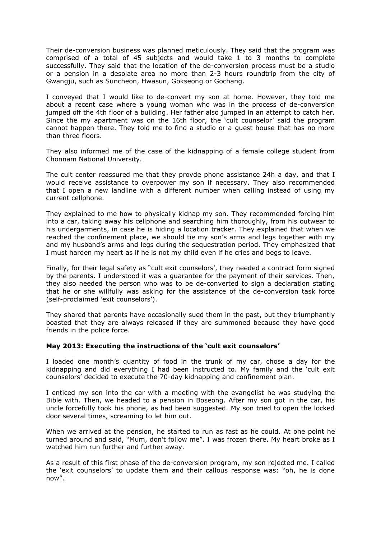Their de-conversion business was planned meticulously. They said that the program was comprised of a total of 45 subjects and would take 1 to 3 months to complete successfully. They said that the location of the de-conversion process must be a studio or a pension in a desolate area no more than 2-3 hours roundtrip from the city of Gwangju, such as Suncheon, Hwasun, Gokseong or Gochang.

I conveyed that I would like to de-convert my son at home. However, they told me about a recent case where a young woman who was in the process of de-conversion jumped off the 4th floor of a building. Her father also jumped in an attempt to catch her. Since the my apartment was on the 16th floor, the 'cult counselor' said the program cannot happen there. They told me to find a studio or a guest house that has no more than three floors.

They also informed me of the case of the kidnapping of a female college student from Chonnam National University.

The cult center reassured me that they provde phone assistance 24h a day, and that I would receive assistance to overpower my son if necessary. They also recommended that I open a new landline with a different number when calling instead of using my current cellphone.

They explained to me how to physically kidnap my son. They recommended forcing him into a car, taking away his cellphone and searching him thoroughly, from his outwear to his undergarments, in case he is hiding a location tracker. They explained that when we reached the confinement place, we should tie my son's arms and legs together with my and my husband's arms and legs during the sequestration period. They emphasized that I must harden my heart as if he is not my child even if he cries and begs to leave.

Finally, for their legal safety as "cult exit counselors', they needed a contract form signed by the parents. I understood it was a guarantee for the payment of their services. Then, they also needed the person who was to be de-converted to sign a declaration stating that he or she willfully was asking for the assistance of the de-conversion task force (self-proclaimed 'exit counselors').

They shared that parents have occasionally sued them in the past, but they triumphantly boasted that they are always released if they are summoned because they have good friends in the police force.

# **May 2013: Executing the instructions of the 'cult exit counselors'**

I loaded one month's quantity of food in the trunk of my car, chose a day for the kidnapping and did everything I had been instructed to. My family and the 'cult exit counselors' decided to execute the 70-day kidnapping and confinement plan.

I enticed my son into the car with a meeting with the evangelist he was studying the Bible with. Then, we headed to a pension in Boseong. After my son got in the car, his uncle forcefully took his phone, as had been suggested. My son tried to open the locked door several times, screaming to let him out.

When we arrived at the pension, he started to run as fast as he could. At one point he turned around and said, "Mum, don't follow me". I was frozen there. My heart broke as I watched him run further and further away.

As a result of this first phase of the de-conversion program, my son rejected me. I called the 'exit counselors' to update them and their callous response was: "oh, he is done now".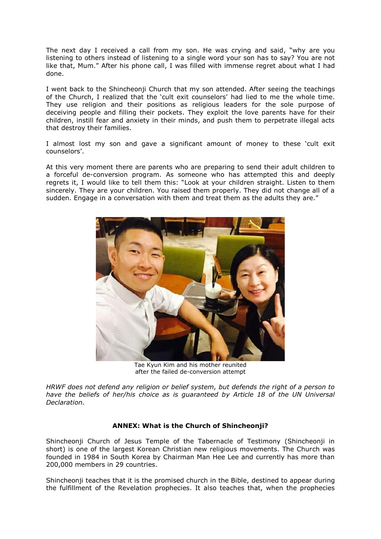The next day I received a call from my son. He was crying and said, "why are you listening to others instead of listening to a single word your son has to say? You are not like that, Mum." After his phone call, I was filled with immense regret about what I had done.

I went back to the Shincheonji Church that my son attended. After seeing the teachings of the Church, I realized that the 'cult exit counselors' had lied to me the whole time. They use religion and their positions as religious leaders for the sole purpose of deceiving people and filling their pockets. They exploit the love parents have for their children, instill fear and anxiety in their minds, and push them to perpetrate illegal acts that destroy their families.

I almost lost my son and gave a significant amount of money to these 'cult exit counselors'.

At this very moment there are parents who are preparing to send their adult children to a forceful de-conversion program. As someone who has attempted this and deeply regrets it, I would like to tell them this: "Look at your children straight. Listen to them sincerely. They are your children. You raised them properly. They did not change all of a sudden. Engage in a conversation with them and treat them as the adults they are."



Tae Kyun Kim and his mother reunited after the failed de-conversion attempt

*HRWF does not defend any religion or belief system, but defends the right of a person to have the beliefs of her/his choice as is guaranteed by Article 18 of the UN Universal Declaration.*

# **ANNEX: What is the Church of Shincheonji?**

Shincheonji Church of Jesus Temple of the Tabernacle of Testimony (Shincheonji in short) is one of the largest Korean Christian new religious movements. The Church was founded in 1984 in South Korea by Chairman Man Hee Lee and currently has more than 200,000 members in 29 countries.

Shincheonji teaches that it is the promised church in the Bible, destined to appear during the fulfillment of the Revelation prophecies. It also teaches that, when the prophecies